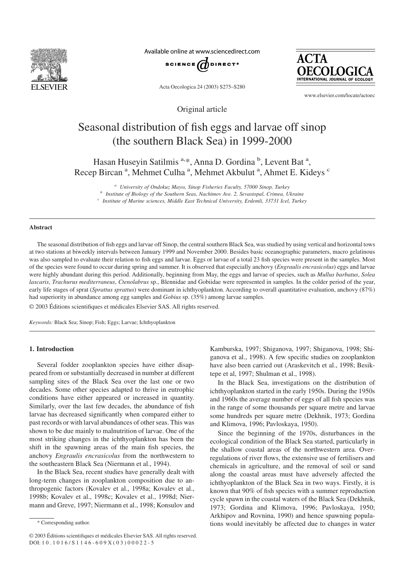

Available online at www.sciencedirect.com



**ACTA** INTERNATIONAL JOURNAL OF ECOLOGY

Acta Oecologica 24 (2003) S275–S280

Original article

www.elsevier.com/locate/actoec

# Seasonal distribution of fish eggs and larvae off sinop (the southern Black Sea) in 1999-2000

Hasan Huseyin Satilmis<sup>a,\*</sup>, Anna D. Gordina<sup>b</sup>, Levent Bat<sup>a</sup>, Recep Bircan<sup>a</sup>, Mehmet Culha<sup>a</sup>, Mehmet Akbulut<sup>a</sup>, Ahmet E. Kideys<sup>c</sup>

*<sup>a</sup> University of Ondokuz Mayıs, Sinop Fisheries Faculty, 57000 Sinop, Turkey*

*<sup>b</sup> Institute of Biology of the Southern Seas, Nachimov Ave. 2, Sevastopal, Crimea, Ukraine*

*<sup>c</sup> Institute of Marine sciences, Middle East Technical University, Erdemli, 33731 Icel, Turkey*

#### **Abstract**

The seasonal distribution of fish eggs and larvae off Sinop, the central southern Black Sea, was studied by using vertical and horizontal tows at two stations at biweekly intervals between January 1999 and November 2000. Besides basic oceanographic parameters, macro gelatinous was also sampled to evaluate their relation to fish eggs and larvae. Eggs or larvae of a total 23 fish species were present in the samples. Most of the species were found to occur during spring and summer. It is observed that especially anchovy (*Engraulis encrasicolus*) eggs and larvae were highly abundant during this period. Additionally, beginning from May, the eggs and larvae of species, such as *Mullus barbatus*, *Solea lascaris*, *Trachurus mediterraneus*, *Ctenolabrus* sp., Blennidae and Gobiidae were represented in samples. In the colder period of the year, early life stages of sprat (*Sprattus sprattus*) were dominant in ichthyoplankton. According to overall quantitative evaluation, anchovy (87%) had superiority in abundance among egg samples and *Gobius* sp. (35%) among larvae samples.

© 2003 Éditions scientifiques et médicales Elsevier SAS. All rights reserved.

*Keywords:* Black Sea; Sinop; Fish; Eggs; Larvae; Ichthyoplankton

## **1. Introduction**

Several fodder zooplankton species have either disappeared from or substantially decreased in number at different sampling sites of the Black Sea over the last one or two decades. Some other species adapted to thrive in eutrophic conditions have either appeared or increased in quantity. Similarly, over the last few decades, the abundance of fish larvae has decreased significantly when compared either to past records or with larval abundances of other seas. This was shown to be due mainly to malnutrition of larvae. One of the most striking changes in the ichthyoplankton has been the shift in the spawning areas of the main fish species, the anchovy *Engraulis encrasicolus* from the northwestern to the southeastern Black Sea (Niermann et al., 1994).

In the Black Sea, recent studies have generally dealt with long-term changes in zooplankton composition due to anthropogenic factors (Kovalev et al., 1998a; Kovalev et al., 1998b; Kovalev et al., 1998c; Kovalev et al., 1998d; Niermann and Greve, 1997; Niermann et al., 1998; Konsulov and

Kamburska, 1997; Shiganova, 1997; Shiganova, 1998; Shiganova et al., 1998). A few specific studies on zooplankton have also been carried out (Araskevitch et al., 1998; Besiktepe et al, 1997; Shulman et al., 1998).

In the Black Sea, investigations on the distribution of ichthyoplankton started in the early 1950s. During the 1950s and 1960s the average number of eggs of all fish species was in the range of some thousands per square metre and larvae some hundreds per square metre (Dekhnik, 1973; Gordina and Klimova, 1996; Pavloskaya, 1950).

Since the beginning of the 1970s, disturbances in the ecological condition of the Black Sea started, particularly in the shallow coastal areas of the northwestern area. Overregulations of river flows, the extensive use of fertilisers and chemicals in agriculture, and the removal of soil or sand along the coastal areas must have adversely affected the ichthyoplankton of the Black Sea in two ways. Firstly, it is known that 90% of fish species with a summer reproduction cycle spawn in the coastal waters of the Black Sea (Dekhnik, 1973; Gordina and Klimova, 1996; Pavloskaya, 1950; Arkhipov and Rovnina, 1990) and hence spawning populations would inevitably be affected due to changes in water \* Corresponding author.

<sup>© 2003</sup> Éditions scientifiques et médicales Elsevier SAS. All rights reserved. DOI: 10.1016/S1146-609X(03)00022-5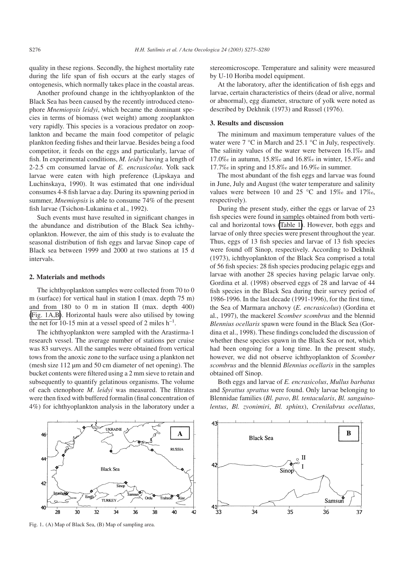quality in these regions. Secondly, the highest mortality rate during the life span of fish occurs at the early stages of ontogenesis, which normally takes place in the coastal areas.

Another profound change in the ichthyoplankton of the Black Sea has been caused by the recently introduced ctenophore *Mnemiopsis leidyi*, which became the dominant species in terms of biomass (wet weight) among zooplankton very rapidly. This species is a voracious predator on zooplankton and became the main food competitor of pelagic plankton feeding fishes and their larvae. Besides being a food competitor, it feeds on the eggs and particularly, larvae of fish. In experimental conditions, *M. leidyi* having a length of 2-2.5 cm consumed larvae of *E. encrasicolus*. Yolk sack larvae were eaten with high preference (Lipskaya and Luchinskaya, 1990). It was estimated that one individual consumes 4-8 fish larvae a day. During its spawning period in summer, *Mnemiopsis* is able to consume 74% of the present fish larvae (Tsichon-Lukanina et al., 1992).

Such events must have resulted in significant changes in the abundance and distribution of the Black Sea ichthyoplankton. However, the aim of this study is to evaluate the seasonal distribution of fish eggs and larvae Sinop cape of Black sea between 1999 and 2000 at two stations at 15 d intervals.

# **2. Materials and methods**

The ichthyoplankton samples were collected from 70 to 0 m (surface) for vertical haul in station I (max. depth 75 m) and from 180 to 0 m in station II (max. depth 400) (Fig. 1A,B). Horizontal hauls were also utilised by towing the net for 10-15 min at a vessel speed of 2 miles  $h^{-1}$ .

The ichthyoplankton were sampled with the Arastirma-1 research vessel. The average number of stations per cruise was 83 surveys. All the samples were obtained from vertical tows from the anoxic zone to the surface using a plankton net (mesh size 112 µm and 50 cm diameter of net opening). The bucket contents were filtered using a 2 mm sieve to retain and subsequently to quantify gelatinous organisms. The volume of each ctenophore *M. leidyi* was measured. The filtrates were then fixed with buffered formalin (final concentration of 4%) for ichthyoplankton analysis in the laboratory under a

# stereomicroscope. Temperature and salinity were measured by U-10 Horiba model equipment.

At the laboratory, after the identification of fish eggs and larvae, certain characteristics of theirs (dead or alive, normal or abnormal), egg diameter, structure of yolk were noted as described by Dekhnik (1973) and Russel (1976).

## **3. Results and discussion**

The minimum and maximum temperature values of the water were 7 °C in March and 25.1 °C in July, respectively. The salinity values of the water were between 16.1‰ and 17.0‰ in autumn, 15.8‰ and 16.8‰ in winter, 15.4‰ and 17.7‰ in spring and 15.8‰ and 16.9‰ in summer.

The most abundant of the fish eggs and larvae was found in June, July and August (the water temperature and salinity values were between 10 and 25 °C and 15‰ and 17‰, respectively).

During the present study, either the eggs or larvae of 23 fish species were found in samples obtained from both vertical and horizontal tows [\(Table 1\)](#page-2-0). However, both eggs and larvae of only three species were present throughout the year. Thus, eggs of 13 fish species and larvae of 13 fish species were found off Sinop, respectively. According to Dekhnik (1973), ichthyoplankton of the Black Sea comprised a total of 56 fish species: 28 fish species producing pelagic eggs and larvae with another 28 species having pelagic larvae only. Gordina et al. (1998) observed eggs of 28 and larvae of 44 fish species in the Black Sea during their survey period of 1986-1996. In the last decade (1991-1996), for the first time, the Sea of Marmara anchovy (*E. encrasicolus*) (Gordina et al., 1997), the mackerel *Scomber scombrus* and the blennid *Blennius ocellaris* spawn were found in the Black Sea (Gordina et al., 1998). These findings concluded the discussion of whether these species spawn in the Black Sea or not, which had been ongoing for a long time. In the present study, however, we did not observe ichthyoplankton of *Scomber scombrus* and the blennid *Blennius ocellaris* in the samples

Both eggs and larvae of *E. encrasicolus*, *Mullus barbatus* and *Sprattus sprattus* were found. Only larvae belonging to Blennidae families (*Bl. pavo*, *Bl. tentacularis*, *Bl. sanguinolentus*, *Bl. zvonimiri*, *Bl. sphinx*), *Crenilabrus ocellatus*,





Fig. 1. (A) Map of Black Sea, (B) Map of sampling area.

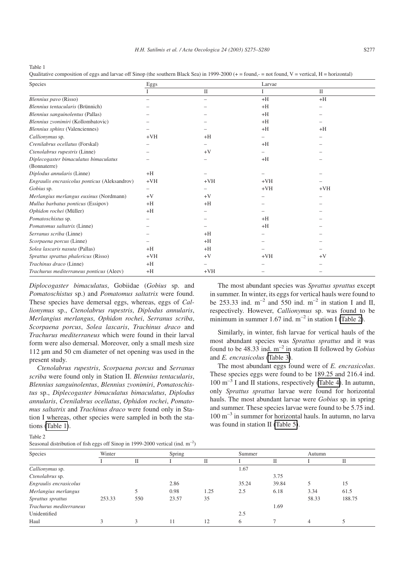<span id="page-2-0"></span>Table 1

Qualitative composition of eggs and larvae off Sinop (the southern Black Sea) in 1999-2000 ( $+$  = found,  $=$  not found, V = vertical, H = horizontal)

| Species                                               | Eggs                     |              | Larvae |              |  |
|-------------------------------------------------------|--------------------------|--------------|--------|--------------|--|
|                                                       |                          | $\mathbf{I}$ | I      | $\mathbf{I}$ |  |
| Blennius pavo (Risso)                                 |                          |              | $+H$   | $+H$         |  |
| Blennius tentacularis (Brünnich)                      |                          |              | $+H$   |              |  |
| Blennius sanguinolentus (Pallas)                      |                          |              | $+H$   |              |  |
| Blennius zvonimiri (Kollombatovic)                    |                          |              | $+H$   |              |  |
| Blennius sphinx (Valenciennes)                        |                          |              | $+H$   | $+H$         |  |
| Callionymus sp.                                       | $+VH$                    | $+H$         |        |              |  |
| Crenilabrus ocellatus (Forskal)                       |                          |              | $+H$   |              |  |
| Ctenolabrus rupestris (Linne)                         |                          | $+V$         |        |              |  |
| Diplecogaster bimaculatus bimaculatus<br>(Bonnaterre) |                          |              | $+H$   |              |  |
| Diplodus annularis (Linne)                            | $+H$                     |              |        |              |  |
| Engraulis encrasicolus ponticus (Aleksandrov)         | $+VH$                    | $+VH$        | $+VH$  |              |  |
| Gobius sp.                                            | $\overline{\phantom{0}}$ |              | $+VH$  | $+VH$        |  |
| Merlangius merlangus euxinus (Nordmann)               | $+V$                     | $+V$         |        |              |  |
| Mullus barbatus ponticus (Essipov)                    | $+H$                     | $+H$         |        |              |  |
| Ophidon rochei (Müller)                               | $+H$                     |              |        |              |  |
| Pomatoschistus sp.                                    |                          |              | $+H$   |              |  |
| Pomatomus saltatrix (Linne)                           |                          |              | $+H$   |              |  |
| Serranus scriba (Linne)                               |                          | $+H$         |        |              |  |
| Scorpaena porcus (Linne)                              |                          | $+H$         |        |              |  |
| Solea lascaris nasuta (Pallas)                        | $+H$                     | $+H$         |        |              |  |
| Sprattus sprattus phalericus (Risso)                  | $+VH$                    | $+V$         | $+VH$  | $+V$         |  |
| Trachinus draco (Linne)                               | $+H$                     |              |        |              |  |
| Trachurus mediterraneus ponticus (Aleev)              | $+H$                     | $+VH$        |        |              |  |

*Diplocogaster bimaculatus*, Gobiidae (*Gobius* sp. and *Pomatoschistus* sp.) and *Pomatomus saltatrix* were found. These species have demersal eggs, whereas, eggs of *Callionymus* sp., *Ctenolabrus rupestris*, *Diplodus annularis*, *Merlangius merlangus*, *Ophidon rochei*, *Serranus scriba*, *Scorpaena porcus*, *Solea lascaris*, *Trachinus draco* and *Trachurus mediterraneus* which were found in their larval form were also demersal. Moreover, only a small mesh size 112 um and 50 cm diameter of net opening was used in the present study.

*Ctenolabrus rupestris*, *Scorpaena porcus* and *Serranus scriba* were found only in Station II. *Blennius tentacularis*, *Blennius sanguinolentus*, *Blennius zvonimiri*, *Pomatoschistus* sp., *Diplecogaster bimaculatus bimaculatus*, *Diplodus annularis*, *Crenilabrus ocellatus*, *Ophidon rochei*, *Pomatomus saltatrix* and *Trachinus draco* were found only in Station I whereas, other species were sampled in both the stations (Table 1).

The most abundant species was *Sprattus sprattus* except in summer. In winter, its eggs for vertical hauls were found to be 253.33 ind.  $m^{-2}$  and 550 ind.  $m^{-2}$  in station I and II, respectively. However, *Callionymus* sp. was found to be minimum in summer 1.67 ind.  $m^{-2}$  in station I (Table 2).

Similarly, in winter, fish larvae for vertical hauls of the most abundant species was *Sprattus sprattus* and it was found to be 48.33 ind. m–2 in station II followed by *Gobius* and *E. encrasicolus* [\(Table 3\)](#page-3-0).

The most abundant eggs found were of *E. encrasicolus*. These species eggs were found to be 189.25 and 216.4 ind.  $100 \text{ m}^{-3}$  I and II stations, respectively [\(Table 4\)](#page-3-0). In autumn, only *Sprattus sprattus* larvae were found for horizontal hauls. The most abundant larvae were *Gobius* sp. in spring and summer. These species larvae were found to be 5.75 ind. 100 m–3 in summer for horizontal hauls. In autumn, no larva was found in station II [\(Table 5\)](#page-3-0).

| Seasonal distribution of fish eggs off Sinop in 1999-2000 vertical (ind. m <sup>-2</sup> ) |  |  |
|--------------------------------------------------------------------------------------------|--|--|
|--------------------------------------------------------------------------------------------|--|--|

| Species                  | Winter |     | Spring |      | Summer |       | Autumn |        |
|--------------------------|--------|-----|--------|------|--------|-------|--------|--------|
|                          |        |     |        | П    |        | П     |        | П      |
| Callionymus sp.          |        |     |        |      | 1.67   |       |        |        |
| Ctenolabrus sp.          |        |     |        |      |        | 3.75  |        |        |
| Engraulis encrasicolus   |        |     | 2.86   |      | 35.24  | 39.84 |        | 15     |
| Merlangius merlangus     |        |     | 0.98   | 1.25 | 2.5    | 6.18  | 3.34   | 61.5   |
| <i>Sprattus sprattus</i> | 253.33 | 550 | 23.57  | 35   |        |       | 58.33  | 188.75 |
| Trachurus mediterraneus  |        |     |        |      |        | 1.69  |        |        |
| Unidentified             |        |     |        |      | 2.5    |       |        |        |
| Haul                     |        |     |        | 12   | 6      |       | 4      |        |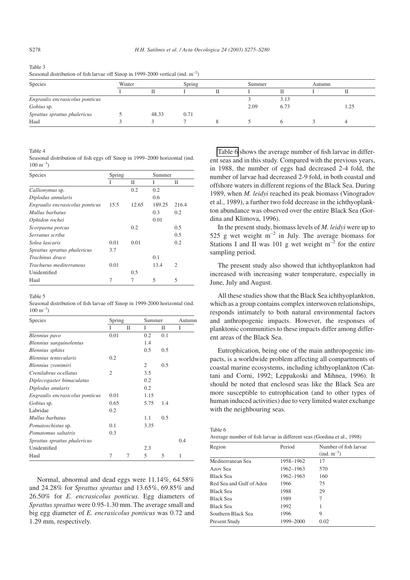# <span id="page-3-0"></span>Table 3 Seasonal distribution of fish larvae off Sinop in 1999-2000 vertical (ind.  $m^{-2}$ )

| Species                         | Winter |       |      | Spring |      | Summer |  | Autumn |  |
|---------------------------------|--------|-------|------|--------|------|--------|--|--------|--|
|                                 |        |       |      |        |      |        |  |        |  |
| Engraulis encrasicolus ponticus |        |       |      |        |      | 3.13   |  |        |  |
| Gobius sp.                      |        |       |      |        | 2.09 | 6.73   |  | .25    |  |
| Sprattus sprattus phalericus    |        | 48.33 | 0.71 |        |      |        |  |        |  |
| Haul                            |        |       |      |        |      |        |  |        |  |

Table 4

Seasonal distribution of fish eggs off Sinop in 1999–2000 horizontal (ind.  $100 \text{ m}^{-3}$ 

| Species                         | Spring |       | Summer |                |
|---------------------------------|--------|-------|--------|----------------|
|                                 |        | П     | Ī      | П              |
| Callionymus sp.                 |        | 0.2   | 0.2    |                |
| Diplodus annularis              |        |       | 0.6    |                |
| Engraulis encrasicolus ponticus | 15.5   | 12.65 | 189.25 | 216.4          |
| Mullus barbatus                 |        |       | 0.3    | 0.2            |
| Ophidon rochei                  |        |       | 0.01   |                |
| Scorpaena porcus                |        | 0.2   |        | 0.5            |
| Serranus scriba                 |        |       |        | 0.5            |
| Solea lascaris                  | 0.01   | 0.01  |        | 0.2            |
| Sprattus sprattus phalericus    | 3.7    |       |        |                |
| <i>Trachinus draco</i>          |        |       | 0.1    |                |
| Trachurus mediterraneus         | 0.01   |       | 13.4   | $\mathfrak{D}$ |
| Unidentified                    |        | 0.5   |        |                |
| Haul                            |        |       | 5      | 5              |

Table 5

Seasonal distribution of fish larvae off Sinop in 1999-2000 horizontal (ind.  $100 \text{ m}^{-3}$ 

| Species                         | Spring         |   |      | Summer |     |
|---------------------------------|----------------|---|------|--------|-----|
|                                 | I              | П | Ι    | П      | I   |
| Blennius pavo                   | 0.01           |   | 0.2  | 0.1    |     |
| Blennius sanguinolentus         |                |   | 1.4  |        |     |
| Blennius sphinx                 |                |   | 0.5  | 0.5    |     |
| Blennius tentecularis           | 0.2            |   |      |        |     |
| Blennius zvonimiri              |                |   | 2    | 0.5    |     |
| Crenilabrus ocellatus           | $\mathfrak{2}$ |   | 3.5  |        |     |
| Diplecogaster bimaculatus       |                |   | 0.2  |        |     |
| Diplodus anularis               |                |   | 0.2  |        |     |
| Engraulis encrasicolus ponticus | 0.01           |   | 1.15 |        |     |
| Gobius sp.                      | 0.65           |   | 5.75 | 1.4    |     |
| Labridae                        | 0.2            |   |      |        |     |
| Mullus barbatus                 |                |   | 1.1  | 0.5    |     |
| Pomatoschistus sp.              | 0.1            |   | 3.35 |        |     |
| Pomatomus saltatrix             | 0.3            |   |      |        |     |
| Sprattus sprattus phalericus    |                |   |      |        | 0.4 |
| Unidentified                    |                |   | 2.3  |        |     |
| Haul                            | 7              | 7 | 5    | 5      | 1   |

Normal, abnormal and dead eggs were 11.14%, 64.58% and 24.28% for *Sprattus sprattus* and 13.65%, 69.85% and 26.50% for *E. encrasicolus ponticus*. Egg diameters of *Sprattus sprattus* were 0.95-1.30 mm. The average small and big egg diameter of *E. encrasicolus ponticus* was 0.72 and 1.29 mm, respectively.

Table 6 shows the average number of fish larvae in different seas and in this study. Compared with the previous years, in 1988, the number of eggs had decreased 2-4 fold, the number of larvae had decreased 2-9 fold, in both coastal and offshore waters in different regions of the Black Sea. During 1989, when *M. leidyi* reached its peak biomass (Vinogradov et al., 1989), a further two fold decrease in the ichthyoplankton abundance was observed over the entire Black Sea (Gordina and Klimova, 1996).

In the present study, biomass levels of *M. leidyi* were up to 525 g wet weight  $m^{-2}$  in July. The average biomass for Stations I and II was 101 g wet weight  $m^{-2}$  for the entire sampling period.

The present study also showed that ichthyoplankton had increased with increasing water temperature, especially in June, July and August.

All these studies show that the Black Sea ichthyoplankton, which as a group contains complex interwoven relationships, responds intimately to both natural environmental factors and anthropogenic impacts. However, the responses of planktonic communities to these impacts differ among different areas of the Black Sea.

Eutrophication, being one of the main anthropogenic impacts, is a worldwide problem affecting all compartments of coastal marine ecosystems, including ichthyoplankton (Cattani and Corni, 1992; Leppakoski and Mihnea, 1996). It should be noted that enclosed seas like the Black Sea are more susceptible to eutrophication (and to other types of human induced activities) due to very limited water exchange with the neighbouring seas.

Table 6

Average number of fish larvae in different seas (Gordina et al., 1998)

| Region                   | Period    | Number of fish larvae<br>$(ind. m^{-3})$ |
|--------------------------|-----------|------------------------------------------|
| Mediterranean Sea        | 1958-1962 | 17                                       |
| Azov Sea                 | 1962-1963 | 570                                      |
| <b>Black Sea</b>         | 1962-1963 | 160                                      |
| Red Sea and Gulf of Aden | 1966      | 75                                       |
| <b>Black Sea</b>         | 1988      | 29                                       |
| <b>Black Sea</b>         | 1989      | 7                                        |
| <b>Black Sea</b>         | 1992      | 1                                        |
| Southern Black Sea       | 1996      | 9                                        |
| Present Study            | 1999–2000 | 0.02                                     |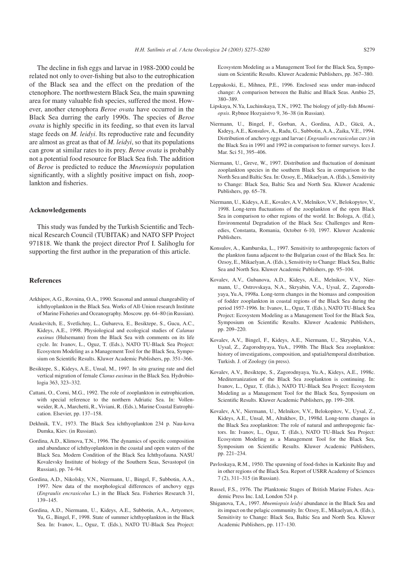The decline in fish eggs and larvae in 1988-2000 could be related not only to over-fishing but also to the eutrophication of the Black sea and the effect on the predation of the ctenophore. The northwestern Black Sea, the main spawning area for many valuable fish species, suffered the most. However, another ctenophora *Beroe ovata* have occurred in the Black Sea durring the early 1990s. The species of *Beroe ovata* is highly specific in its feeding, so that even its larval stage feeds on *M. leidyi*. Its reproductive rate and fecundity are almost as great as that of *M. leidyi*, so that its populations can grow at similar rates to its prey. *Beroe ovata* is probably not a potential food resource for Black Sea fish. The addition of *Beroe* is predicted to reduce the *Mnemiopsis* population significantly, with a slightly positive impact on fish, zooplankton and fisheries.

#### **Acknowledgements**

This study was funded by the Turkish Scientific and Technical Research Council (TUBITAK) and NATO SFP Project 971818. We thank the project director Prof I. Salihoglu for supporting the first author in the preparation of this article.

#### **References**

- Arkhipov, A.G., Rovnina, O.A., 1990. Seasonal and annual changeability of ichthyoplankton in the Black Sea. Works of All-Union research Institute of Marine Fisheries and Oceanography. Moscow. pp. 64–80 (in Russian).
- Araskevitch, E., Svetlichny, L., Gubareva, E., Besiktepe, S., Gucu, A.C., Kideys, A.E., 1998. Physiological and ecological studies of *Calanus euxinus* (Hulsemann) from the Black Sea with comments on its life cycle. In: Ivanov, L., Oguz, T. (Eds.), NATO TU-Black Sea Project: Ecosystem Modeling as a Management Tool for the Black Sea, Symposium on Scientific Results. Kluwer Academic Publishers, pp. 351–366.
- Besiktepe, S., Kideys, A.E., Unsal, M., 1997. In situ grazing rate and diel vertical migration of female *Clanus euxinus* in the Black Sea. Hydrobiologia 363, 323–332.
- Cattani, O., Corni, M.G., 1992. The role of zooplankton in eutrophication, with special reference to the northern Adriatic Sea. In: Vollenweider, R.A., Marchetti, R., Viviani, R. (Eds.), Marine Coastal Eutrophication. Elsevier, pp. 137–158.
- Dekhnik, T.V., 1973. The Black Sea ichthyoplankton 234 p. Nau-kova Dumka, Kiev. (in Russian).
- Gordina, A.D., Klimova, T.N., 1996. The dynamics of specific composition and abundance of ichthyoplankton in the coastal and open waters of the Black Sea. Modern Condition of the Black Sea Ichthyofauna. NASU Kovalevsky Institute of biology of the Southern Seas, Sevastopol (in Russian), pp. 74–94.
- Gordina, A.D., Nikolsky, V.N., Niermann, U., Bingel, F., Subbotin, A.A., 1997. New data of the morphological differences of anchovy eggs (*Engraulis encrasicolus* L.) in the Black Sea. Fisheries Research 31, 139–145.
- Gordina, A.D., Niermann, U., Kideys, A.E., Subbotin, A.A., Artyomov, Yu, G., Bingel, F., 1998. State of summer ichthyoplankton in the Black Sea. In: Ivanov, L., Oguz, T. (Eds.), NATO TU-Black Sea Project:

Ecosystem Modeling as a Management Tool for the Black Sea, Symposium on Scientific Results. Kluwer Academic Publishers, pp. 367–380.

- Leppakoski, E., Mihnea, P.E., 1996. Enclosed seas under man-induced change: A comparison between the Baltic and Black Seas. Ambio 25, 380–389.
- Lipskaya, N.Ya, Luchinskaya, T.N., 1992. The biology of jelly-fish *Mnemiopsis*. Rybnoe Hozyaistvo 9, 36–38 (in Russian).
- Niermann, U., Bingel, F., Gorban, A., Gordina, A.D., Gücü, A., Kıdeys¸, A.E., Konsulov, A., Radu, G., Subbotin, A.A., Zaika, V.E., 1994. Distribution of anchovy eggs and larvae ( *Engraulis encrasicolus* cuv.) in the Black Sea in 1991 and 1992 in comparison to former surveys. Ices J. Mar. Sci 51, 395–406.
- Niermann, U., Greve, W., 1997. Distribution and fluctuation of dominant zooplankton species in the southern Black Sea in comparison to the North Sea and Baltic Sea. In: Ozsoy, E., Mikaelyan, A. (Eds.), Sensitivity to Change: Black Sea, Baltic Sea and North Sea. Kluwer Academic Publishers, pp. 65–78.
- Niermann, U., Kideys, A.E., Kovalev, A.V., Melnikov, V.V., Belokopytov, V., 1998. Long-term fluctuations of the zooplankton of the open Black Sea in comparison to other regions of the world. In: Bologa, A. (Ed.), Environmental Degradation of the Black Sea: Challenges and Remedies, Constanta, Romania, October 6-10, 1997. Kluwer Academic Publishers.
- Konsulov, A., Kamburska, L., 1997. Sensitivity to anthropogenic factors of the plankton fauna adjacent to the Bulgarian coast of the Black Sea. In: Ozsoy, E., Mikaelyan, A. (Eds.), Sensitivity to Change: Black Sea, Baltic Sea and North Sea. Kluwer Academic Publishers, pp. 95–104.
- Kovalev, A.V., Gubanova, A.D., Kideys, A.E., Melnikov, V.V., Niermann, U., Ostrovskaya, N.A., Skryabin, V.A., Uysal, Z., Zagorodnyaya, Yu.A, 1998a. Long-term changes in the biomass and composition of fodder zooplankton in coastal regions of the Black Sea during the period 1957-1996. In: Ivanov, L., Oguz, T. (Eds.), NATO TU-Black Sea Project: Ecosystem Modeling as a Management Tool for the Black Sea, Symposium on Scientific Results. Kluwer Academic Publishers, pp. 209–220.
- Kovalev, A.V., Bingel, F., Kideys, A.E., Niermann, U., Skryabin, V.A., Uysal, Z., Zagorodnyaya, YuA., 1998b. The Black Sea zooplankton: history of investigations, composition, and spatial/temporal distribution. Turkish. J. of Zoology (in press).
- Kovalev, A.V., Besiktepe, S., Zagorodnyaya, Yu.A., Kideys, A.E., 1998c. Mediterranization of the Black Sea zooplankton is continuing. In: Ivanov, L., Oguz, T. (Eds.), NATO TU-Black Sea Project: Ecosystem Modeling as a Management Tool for the Black Sea, Symposium on Scientific Results. Kluwer Academic Publishers, pp. 199–208.
- Kovalev, A.V., Niermann, U., Melnikov, V.V., Belokopitov, V., Uysal, Z., Kideys, A.E., Unsal, M., Altukhov, D., 1998d. Long-term changes in the Black Sea zooplankton: The role of natural and anthropogenic factors. In: Ivanov, L., Oguz, T. (Eds.), NATO TU-Black Sea Project: Ecosystem Modeling as a Management Tool for the Black Sea, Symposium on Scientific Results. Kluwer Academic Publishers, pp. 221–234.
- Pavloskaya, R.M., 1950. The spawning of food-fishes in Karkinite Bay and in other regions of the Black Sea. Report of USRR Academy of Sciences 7 (2), 311–315 (in Russian).
- Russel, F.S., 1976. The Planktonic Stages of British Marine Fishes. Academic Press Inc. Ltd, London 524 p.
- Shiganova, T.A., 1997. *Mnemiopsis leidyi* abundance in the Black Sea and its impact on the pelagic community. In: Ozsoy, E., Mikaelyan, A. (Eds.), Sensitivity to Change: Black Sea, Baltic Sea and North Sea. Kluwer Academic Publishers, pp. 117–130.